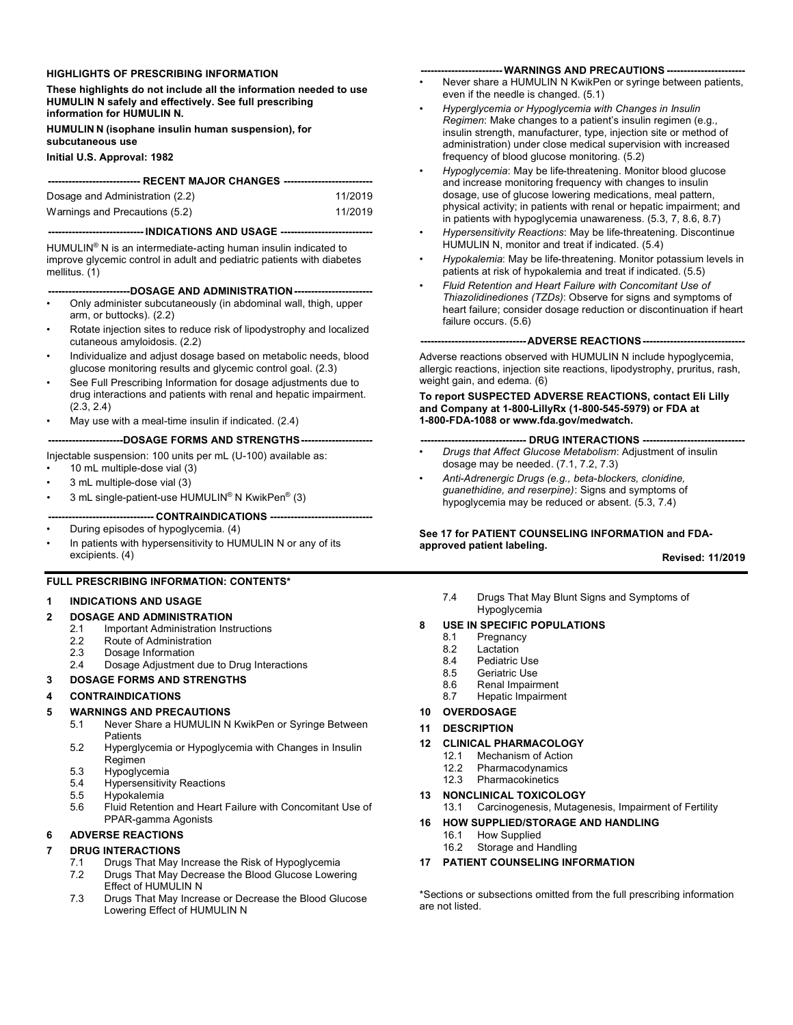#### **HIGHLIGHTS OF PRESCRIBING INFORMATION**

**These highlights do not include all the information needed to use HUMULIN N safely and effectively. See full prescribing information for HUMULIN N.**

**HUMULIN N (isophane insulin human suspension), for subcutaneous use**

**Initial U.S. Approval: 1982**

| ---------------------------- RECENT MAJOR CHANGES ----------------------------- |         |  |  |
|---------------------------------------------------------------------------------|---------|--|--|
| Dosage and Administration (2.2)                                                 | 11/2019 |  |  |
| Warnings and Precautions (5.2)                                                  | 11/2019 |  |  |

#### **---------------------------- INDICATIONS AND USAGE ---------------------------**

HUMULIN® N is an intermediate-acting human insulin indicated to improve glycemic control in adult and pediatric patients with diabetes mellitus. (1)

#### **------------------------DOSAGE AND ADMINISTRATION-----------------------**

- Only administer subcutaneously (in abdominal wall, thigh, upper arm, or buttocks). (2.2)
- Rotate injection sites to reduce risk of lipodystrophy and localized cutaneous amyloidosis. (2.2)
- Individualize and adjust dosage based on metabolic needs, blood glucose monitoring results and glycemic control goal. (2.3)
- See Full Prescribing Information for dosage adjustments due to drug interactions and patients with renal and hepatic impairment. (2.3, 2.4)
- May use with a meal-time insulin if indicated. (2.4)

#### **----------------------DOSAGE FORMS AND STRENGTHS---------------------**

Injectable suspension: 100 units per mL (U-100) available as:

- 10 mL multiple-dose vial (3)
- 3 mL multiple-dose vial (3)
- 3 mL single-patient-use HUMULIN® N KwikPen® (3)

### **--- CONTRAINDICATIONS ---**

• During episodes of hypoglycemia. (4)

In patients with hypersensitivity to HUMULIN N or any of its excipients. (4)

#### **FULL PRESCRIBING INFORMATION: CONTENTS\***

#### **1 INDICATIONS AND USAGE**

# **2 DOSAGE AND ADMINISTRATION**

- 2.1 Important Administration Instructions<br>2.2 Route of Administration
- 2.2 Route of Administration<br>2.3 Dosage Information
- Dosage Information
- 2.4 Dosage Adjustment due to Drug Interactions

#### **3 DOSAGE FORMS AND STRENGTHS**

#### **4 CONTRAINDICATIONS**

# **5 WARNINGS AND PRECAUTIONS**<br>5 1 **Never Share a HUMULIN N**

- Never Share a HUMULIN N KwikPen or Syringe Between **Patients**
- 5.2 Hyperglycemia or Hypoglycemia with Changes in Insulin Regimen
- 5.3 Hypoglycemia
- 5.4 Hypersensitivity Reactions<br>5.5 Hypokalemia
- **Hypokalemia**
- 5.6 Fluid Retention and Heart Failure with Concomitant Use of PPAR-gamma Agonists

# **6 ADVERSE REACTIONS**

#### **7 DRUG INTERACTIONS**

- 7.1 Drugs That May Increase the Risk of Hypoglycemia
- Drugs That May Decrease the Blood Glucose Lowering Effect of HUMULIN N
- 7.3 Drugs That May Increase or Decrease the Blood Glucose Lowering Effect of HUMULIN N

#### **------------------------ WARNINGS AND PRECAUTIONS -----------------------**

- Never share a HUMULIN N KwikPen or syringe between patients, even if the needle is changed. (5.1)
- *Hyperglycemia or Hypoglycemia with Changes in Insulin Regimen*: Make changes to a patient's insulin regimen (e.g., insulin strength, manufacturer, type, injection site or method of administration) under close medical supervision with increased frequency of blood glucose monitoring. (5.2)
- *Hypoglycemia*: May be life-threatening. Monitor blood glucose and increase monitoring frequency with changes to insulin dosage, use of glucose lowering medications, meal pattern, physical activity; in patients with renal or hepatic impairment; and in patients with hypoglycemia unawareness. (5.3, 7, 8.6, 8.7)
- *Hypersensitivity Reactions*: May be life-threatening. Discontinue HUMULIN N, monitor and treat if indicated. (5.4)
- *Hypokalemia*: May be life-threatening. Monitor potassium levels in patients at risk of hypokalemia and treat if indicated. (5.5)
- *Fluid Retention and Heart Failure with Concomitant Use of Thiazolidinediones (TZDs)*: Observe for signs and symptoms of heart failure; consider dosage reduction or discontinuation if heart failure occurs. (5.6)

#### **-------------------------------ADVERSE REACTIONS------------------------------**

Adverse reactions observed with HUMULIN N include hypoglycemia, allergic reactions, injection site reactions, lipodystrophy, pruritus, rash, weight gain, and edema. (6)

#### **To report SUSPECTED ADVERSE REACTIONS, contact Eli Lilly and Company at 1-800-LillyRx (1-800-545-5979) or FDA at 1-800-FDA-1088 or www.fda.gov/medwatch.**

#### **------------------------------- DRUG INTERACTIONS ------------------------------**

- *Drugs that Affect Glucose Metabolism*: Adjustment of insulin dosage may be needed. (7.1, 7.2, 7.3)
- *Anti-Adrenergic Drugs (e.g., beta-blockers, clonidine, guanethidine, and reserpine)*: Signs and symptoms of hypoglycemia may be reduced or absent. (5.3, 7.4)

#### **See 17 for PATIENT COUNSELING INFORMATION and FDAapproved patient labeling.**

**Revised: 11/2019**

7.4 Drugs That May Blunt Signs and Symptoms of Hypoglycemia

### **8 USE IN SPECIFIC POPULATIONS**

- 8.1 Pregnancy<br>8.2 Lactation
- 8.2 Lactation<br>8.4 Pediatric
- 8.4 Pediatric Use<br>8.5 Geriatric Use
- 8.5 Geriatric Use<br>8.6 Renal Impairr
- 8.6 Renal Impairment<br>8.7 Henatic Impairment
- Hepatic Impairment
- **10 OVERDOSAGE**
- **11 DESCRIPTION**
- **12 CLINICAL PHARMACOLOGY**
	- Mechanism of Action
	- 12.2 Pharmacodynamics<br>12.3 Pharmacokinetics
	- **Pharmacokinetics**
- **13 NONCLINICAL TOXICOLOGY** 13.1 Carcinogenesis, Mutagenesis, Impairment of Fertility

### **16 HOW SUPPLIED/STORAGE AND HANDLING**

- 16.1 How Supplied
- 16.2 Storage and Handling
- **17 PATIENT COUNSELING INFORMATION**

\*Sections or subsections omitted from the full prescribing information are not listed.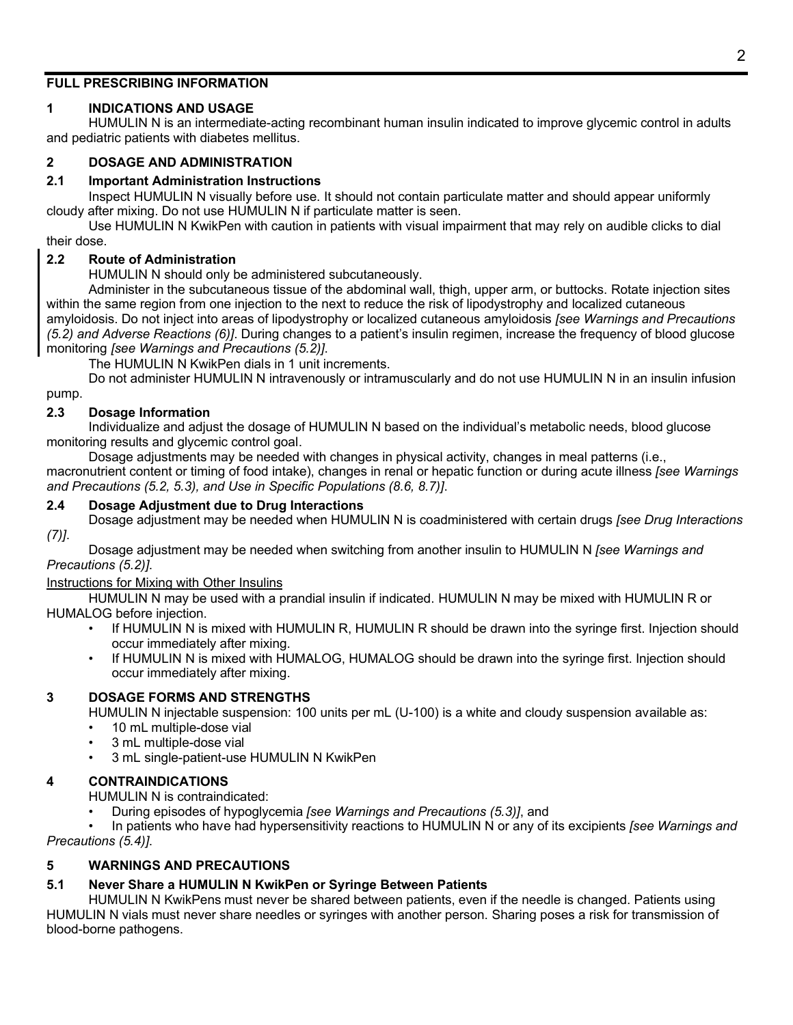### **FULL PRESCRIBING INFORMATION**

# **1 INDICATIONS AND USAGE**

HUMULIN N is an intermediate-acting recombinant human insulin indicated to improve glycemic control in adults and pediatric patients with diabetes mellitus.

# **2 DOSAGE AND ADMINISTRATION**

### **2.1 Important Administration Instructions**

Inspect HUMULIN N visually before use. It should not contain particulate matter and should appear uniformly cloudy after mixing. Do not use HUMULIN N if particulate matter is seen.

Use HUMULIN N KwikPen with caution in patients with visual impairment that may rely on audible clicks to dial their dose.

# **2.2 Route of Administration**

HUMULIN N should only be administered subcutaneously.

Administer in the subcutaneous tissue of the abdominal wall, thigh, upper arm, or buttocks. Rotate injection sites within the same region from one injection to the next to reduce the risk of lipodystrophy and localized cutaneous amyloidosis. Do not inject into areas of lipodystrophy or localized cutaneous amyloidosis *[see Warnings and Precautions (5.2) and Adverse Reactions (6)]*. During changes to a patient's insulin regimen, increase the frequency of blood glucose monitoring *[see Warnings and Precautions (5.2)]*.

The HUMULIN N KwikPen dials in 1 unit increments.

Do not administer HUMULIN N intravenously or intramuscularly and do not use HUMULIN N in an insulin infusion pump.

# **2.3 Dosage Information**

Individualize and adjust the dosage of HUMULIN N based on the individual's metabolic needs, blood glucose monitoring results and glycemic control goal.

Dosage adjustments may be needed with changes in physical activity, changes in meal patterns (i.e., macronutrient content or timing of food intake), changes in renal or hepatic function or during acute illness *[see Warnings and Precautions (5.2, 5.3), and Use in Specific Populations (8.6, 8.7)]*.

### **2.4 Dosage Adjustment due to Drug Interactions**

Dosage adjustment may be needed when HUMULIN N is coadministered with certain drugs *[see Drug Interactions (7)]*.

Dosage adjustment may be needed when switching from another insulin to HUMULIN N *[see Warnings and Precautions (5.2)]*.

### Instructions for Mixing with Other Insulins

HUMULIN N may be used with a prandial insulin if indicated. HUMULIN N may be mixed with HUMULIN R or HUMALOG before injection.

- If HUMULIN N is mixed with HUMULIN R, HUMULIN R should be drawn into the syringe first. Injection should occur immediately after mixing.
- If HUMULIN N is mixed with HUMALOG, HUMALOG should be drawn into the syringe first. Injection should occur immediately after mixing.

### **3 DOSAGE FORMS AND STRENGTHS**

HUMULIN N injectable suspension: 100 units per mL (U-100) is a white and cloudy suspension available as:

- 10 mL multiple-dose vial
- 3 mL multiple-dose vial
- 3 mL single-patient-use HUMULIN N KwikPen

### **4 CONTRAINDICATIONS**

HUMULIN N is contraindicated:

• During episodes of hypoglycemia *[see Warnings and Precautions (5.3)]*, and

• In patients who have had hypersensitivity reactions to HUMULIN N or any of its excipients *[see Warnings and Precautions (5.4)]*.

### **5 WARNINGS AND PRECAUTIONS**

### **5.1 Never Share a HUMULIN N KwikPen or Syringe Between Patients**

HUMULIN N KwikPens must never be shared between patients, even if the needle is changed. Patients using HUMULIN N vials must never share needles or syringes with another person. Sharing poses a risk for transmission of blood-borne pathogens.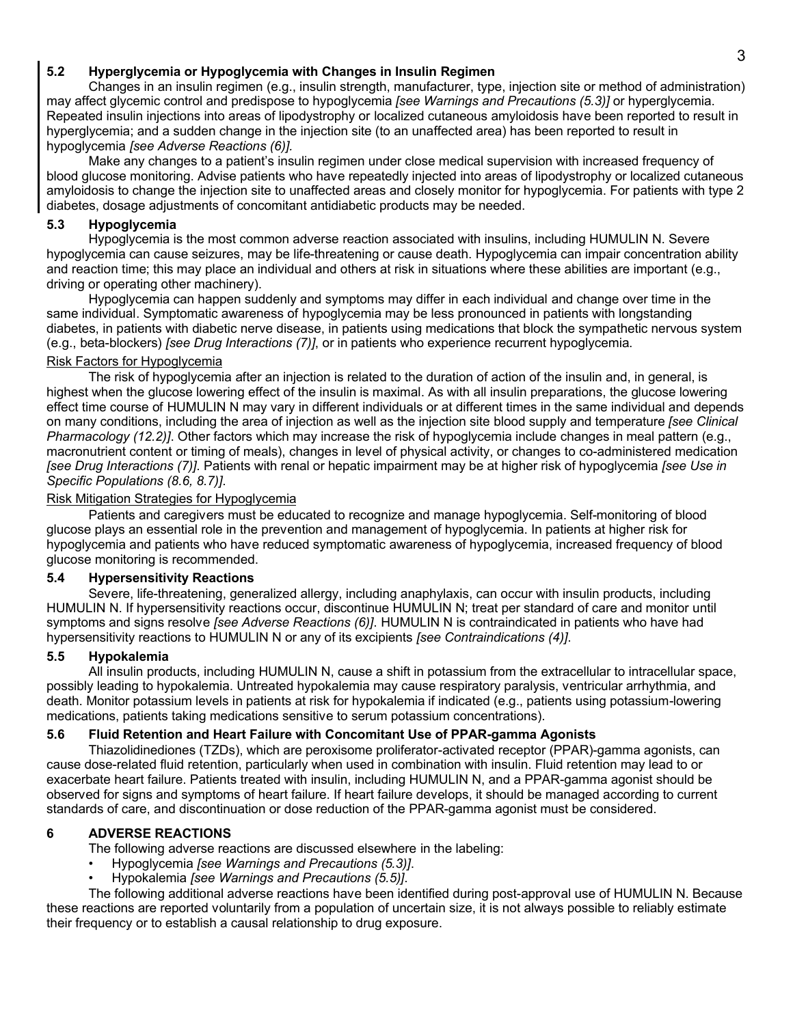# **5.2 Hyperglycemia or Hypoglycemia with Changes in Insulin Regimen**

Changes in an insulin regimen (e.g., insulin strength, manufacturer, type, injection site or method of administration) may affect glycemic control and predispose to hypoglycemia *[see Warnings and Precautions (5.3)]* or hyperglycemia. Repeated insulin injections into areas of lipodystrophy or localized cutaneous amyloidosis have been reported to result in hyperglycemia; and a sudden change in the injection site (to an unaffected area) has been reported to result in hypoglycemia *[see Adverse Reactions (6)].*

Make any changes to a patient's insulin regimen under close medical supervision with increased frequency of blood glucose monitoring. Advise patients who have repeatedly injected into areas of lipodystrophy or localized cutaneous amyloidosis to change the injection site to unaffected areas and closely monitor for hypoglycemia. For patients with type 2 diabetes, dosage adjustments of concomitant antidiabetic products may be needed.

### **5.3 Hypoglycemia**

Hypoglycemia is the most common adverse reaction associated with insulins, including HUMULIN N. Severe hypoglycemia can cause seizures, may be life-threatening or cause death. Hypoglycemia can impair concentration ability and reaction time; this may place an individual and others at risk in situations where these abilities are important (e.g., driving or operating other machinery).

Hypoglycemia can happen suddenly and symptoms may differ in each individual and change over time in the same individual. Symptomatic awareness of hypoglycemia may be less pronounced in patients with longstanding diabetes, in patients with diabetic nerve disease, in patients using medications that block the sympathetic nervous system (e.g., beta-blockers) *[see Drug Interactions (7)]*, or in patients who experience recurrent hypoglycemia.

### Risk Factors for Hypoglycemia

The risk of hypoglycemia after an injection is related to the duration of action of the insulin and, in general, is highest when the glucose lowering effect of the insulin is maximal. As with all insulin preparations, the glucose lowering effect time course of HUMULIN N may vary in different individuals or at different times in the same individual and depends on many conditions, including the area of injection as well as the injection site blood supply and temperature *[see Clinical Pharmacology (12.2)]*. Other factors which may increase the risk of hypoglycemia include changes in meal pattern (e.g., macronutrient content or timing of meals), changes in level of physical activity, or changes to co-administered medication *[see Drug Interactions (7)]*. Patients with renal or hepatic impairment may be at higher risk of hypoglycemia *[see Use in Specific Populations (8.6, 8.7)]*.

### Risk Mitigation Strategies for Hypoglycemia

Patients and caregivers must be educated to recognize and manage hypoglycemia. Self-monitoring of blood glucose plays an essential role in the prevention and management of hypoglycemia. In patients at higher risk for hypoglycemia and patients who have reduced symptomatic awareness of hypoglycemia, increased frequency of blood glucose monitoring is recommended.

### **5.4 Hypersensitivity Reactions**

Severe, life-threatening, generalized allergy, including anaphylaxis, can occur with insulin products, including HUMULIN N. If hypersensitivity reactions occur, discontinue HUMULIN N; treat per standard of care and monitor until symptoms and signs resolve *[see Adverse Reactions (6)]*. HUMULIN N is contraindicated in patients who have had hypersensitivity reactions to HUMULIN N or any of its excipients *[see Contraindications (4)]*.

### **5.5 Hypokalemia**

All insulin products, including HUMULIN N, cause a shift in potassium from the extracellular to intracellular space, possibly leading to hypokalemia. Untreated hypokalemia may cause respiratory paralysis, ventricular arrhythmia, and death. Monitor potassium levels in patients at risk for hypokalemia if indicated (e.g., patients using potassium-lowering medications, patients taking medications sensitive to serum potassium concentrations).

### **5.6 Fluid Retention and Heart Failure with Concomitant Use of PPAR-gamma Agonists**

Thiazolidinediones (TZDs), which are peroxisome proliferator-activated receptor (PPAR)-gamma agonists, can cause dose-related fluid retention, particularly when used in combination with insulin. Fluid retention may lead to or exacerbate heart failure. Patients treated with insulin, including HUMULIN N, and a PPAR-gamma agonist should be observed for signs and symptoms of heart failure. If heart failure develops, it should be managed according to current standards of care, and discontinuation or dose reduction of the PPAR-gamma agonist must be considered.

### **6 ADVERSE REACTIONS**

The following adverse reactions are discussed elsewhere in the labeling:

- Hypoglycemia *[see Warnings and Precautions (5.3)]*.
- Hypokalemia *[see Warnings and Precautions (5.5)]*.

The following additional adverse reactions have been identified during post-approval use of HUMULIN N. Because these reactions are reported voluntarily from a population of uncertain size, it is not always possible to reliably estimate their frequency or to establish a causal relationship to drug exposure.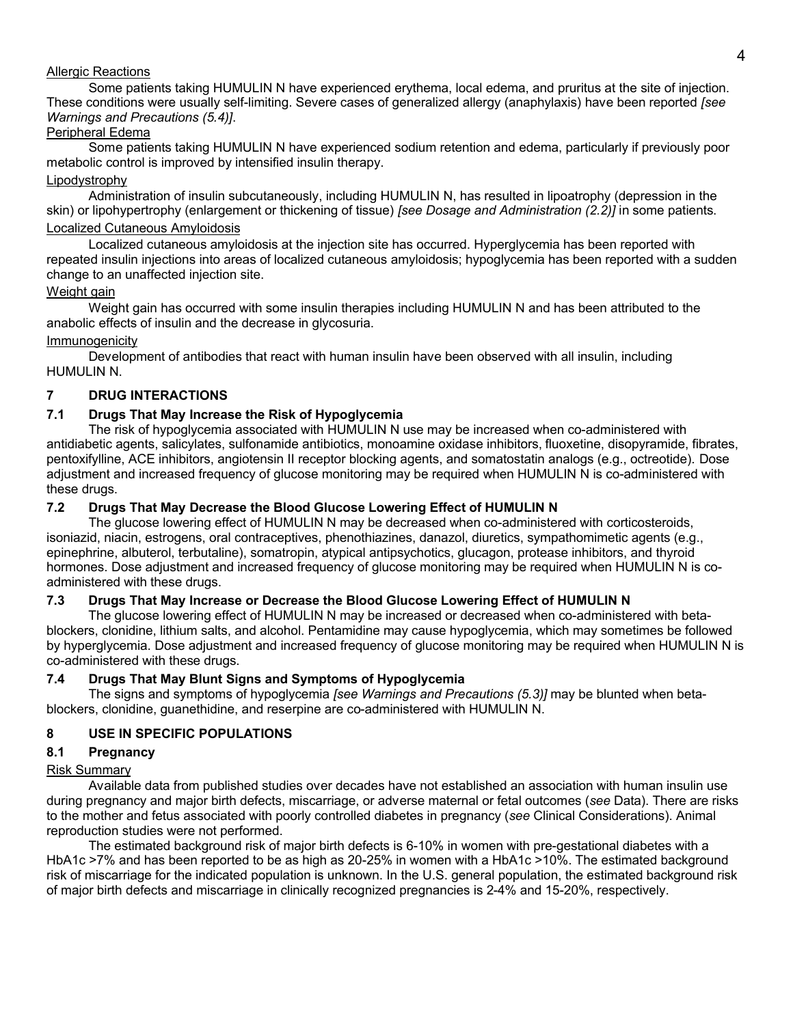### Allergic Reactions

Some patients taking HUMULIN N have experienced erythema, local edema, and pruritus at the site of injection. These conditions were usually self-limiting. Severe cases of generalized allergy (anaphylaxis) have been reported *[see Warnings and Precautions (5.4)]*.

## Peripheral Edema

Some patients taking HUMULIN N have experienced sodium retention and edema, particularly if previously poor metabolic control is improved by intensified insulin therapy.

# Lipodystrophy

Administration of insulin subcutaneously, including HUMULIN N, has resulted in lipoatrophy (depression in the skin) or lipohypertrophy (enlargement or thickening of tissue) *[see Dosage and Administration (2.2)]* in some patients. Localized Cutaneous Amyloidosis

Localized cutaneous amyloidosis at the injection site has occurred. Hyperglycemia has been reported with repeated insulin injections into areas of localized cutaneous amyloidosis; hypoglycemia has been reported with a sudden change to an unaffected injection site.

# Weight gain

Weight gain has occurred with some insulin therapies including HUMULIN N and has been attributed to the anabolic effects of insulin and the decrease in glycosuria.

### Immunogenicity

Development of antibodies that react with human insulin have been observed with all insulin, including HUMULIN N.

# **7 DRUG INTERACTIONS**

# **7.1 Drugs That May Increase the Risk of Hypoglycemia**

The risk of hypoglycemia associated with HUMULIN N use may be increased when co-administered with antidiabetic agents, salicylates, sulfonamide antibiotics, monoamine oxidase inhibitors, fluoxetine, disopyramide, fibrates, pentoxifylline, ACE inhibitors, angiotensin II receptor blocking agents, and somatostatin analogs (e.g., octreotide). Dose adjustment and increased frequency of glucose monitoring may be required when HUMULIN N is co-administered with these drugs.

# **7.2 Drugs That May Decrease the Blood Glucose Lowering Effect of HUMULIN N**

The glucose lowering effect of HUMULIN N may be decreased when co-administered with corticosteroids, isoniazid, niacin, estrogens, oral contraceptives, phenothiazines, danazol, diuretics, sympathomimetic agents (e.g., epinephrine, albuterol, terbutaline), somatropin, atypical antipsychotics, glucagon, protease inhibitors, and thyroid hormones. Dose adjustment and increased frequency of glucose monitoring may be required when HUMULIN N is coadministered with these drugs.

### **7.3 Drugs That May Increase or Decrease the Blood Glucose Lowering Effect of HUMULIN N**

The glucose lowering effect of HUMULIN N may be increased or decreased when co-administered with betablockers, clonidine, lithium salts, and alcohol. Pentamidine may cause hypoglycemia, which may sometimes be followed by hyperglycemia. Dose adjustment and increased frequency of glucose monitoring may be required when HUMULIN N is co-administered with these drugs.

### **7.4 Drugs That May Blunt Signs and Symptoms of Hypoglycemia**

The signs and symptoms of hypoglycemia *[see Warnings and Precautions (5.3)]* may be blunted when betablockers, clonidine, guanethidine, and reserpine are co-administered with HUMULIN N.

# **8 USE IN SPECIFIC POPULATIONS**

# **8.1 Pregnancy**

### Risk Summary

Available data from published studies over decades have not established an association with human insulin use during pregnancy and major birth defects, miscarriage, or adverse maternal or fetal outcomes (*see* Data). There are risks to the mother and fetus associated with poorly controlled diabetes in pregnancy (*see* Clinical Considerations). Animal reproduction studies were not performed.

The estimated background risk of major birth defects is 6-10% in women with pre-gestational diabetes with a HbA1c >7% and has been reported to be as high as 20-25% in women with a HbA1c >10%. The estimated background risk of miscarriage for the indicated population is unknown. In the U.S. general population, the estimated background risk of major birth defects and miscarriage in clinically recognized pregnancies is 2-4% and 15-20%, respectively.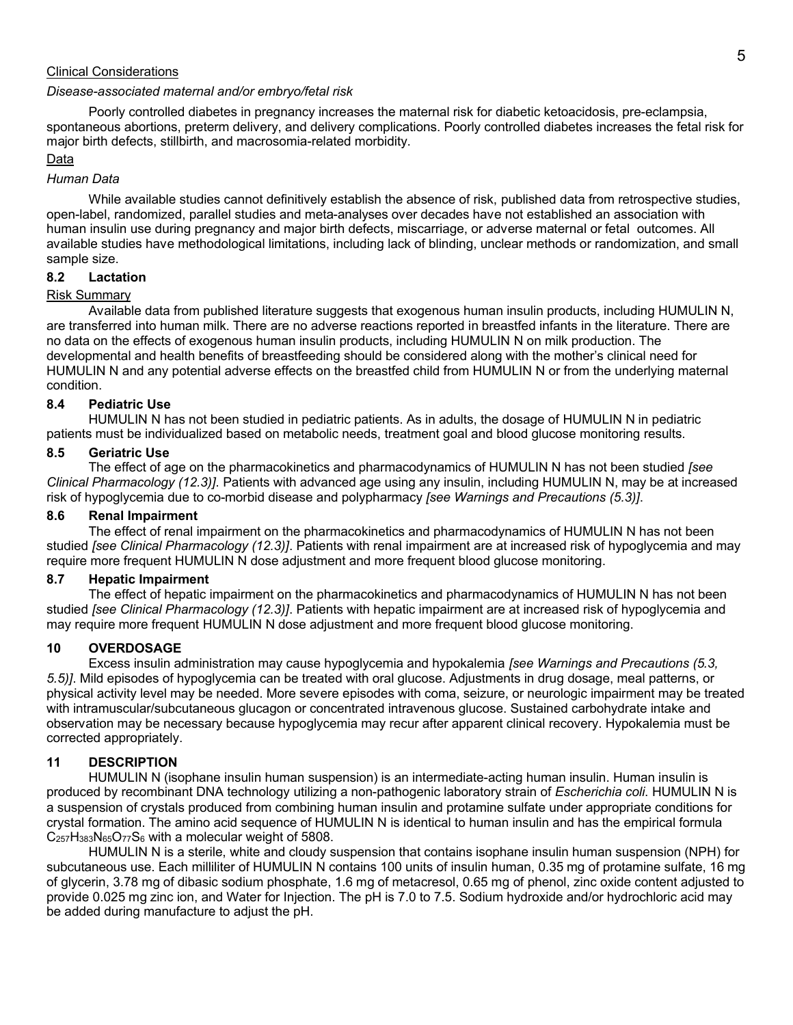#### Clinical Considerations

#### *Disease-associated maternal and/or embryo/fetal risk*

Poorly controlled diabetes in pregnancy increases the maternal risk for diabetic ketoacidosis, pre-eclampsia, spontaneous abortions, preterm delivery, and delivery complications. Poorly controlled diabetes increases the fetal risk for major birth defects, stillbirth, and macrosomia-related morbidity.

#### Data

#### *Human Data*

While available studies cannot definitively establish the absence of risk, published data from retrospective studies, open-label, randomized, parallel studies and meta-analyses over decades have not established an association with human insulin use during pregnancy and major birth defects, miscarriage, or adverse maternal or fetal outcomes. All available studies have methodological limitations, including lack of blinding, unclear methods or randomization, and small sample size.

### **8.2 Lactation**

### Risk Summary

Available data from published literature suggests that exogenous human insulin products, including HUMULIN N, are transferred into human milk. There are no adverse reactions reported in breastfed infants in the literature. There are no data on the effects of exogenous human insulin products, including HUMULIN N on milk production. The developmental and health benefits of breastfeeding should be considered along with the mother's clinical need for HUMULIN N and any potential adverse effects on the breastfed child from HUMULIN N or from the underlying maternal condition.

#### **8.4 Pediatric Use**

HUMULIN N has not been studied in pediatric patients. As in adults, the dosage of HUMULIN N in pediatric patients must be individualized based on metabolic needs, treatment goal and blood glucose monitoring results.

#### **8.5 Geriatric Use**

The effect of age on the pharmacokinetics and pharmacodynamics of HUMULIN N has not been studied *[see Clinical Pharmacology (12.3)]*. Patients with advanced age using any insulin, including HUMULIN N, may be at increased risk of hypoglycemia due to co-morbid disease and polypharmacy *[see Warnings and Precautions (5.3)]*.

#### **8.6 Renal Impairment**

The effect of renal impairment on the pharmacokinetics and pharmacodynamics of HUMULIN N has not been studied *[see Clinical Pharmacology (12.3)]*. Patients with renal impairment are at increased risk of hypoglycemia and may require more frequent HUMULIN N dose adjustment and more frequent blood glucose monitoring.

#### **8.7 Hepatic Impairment**

The effect of hepatic impairment on the pharmacokinetics and pharmacodynamics of HUMULIN N has not been studied *[see Clinical Pharmacology (12.3)]*. Patients with hepatic impairment are at increased risk of hypoglycemia and may require more frequent HUMULIN N dose adjustment and more frequent blood glucose monitoring.

### **10 OVERDOSAGE**

Excess insulin administration may cause hypoglycemia and hypokalemia *[see Warnings and Precautions (5.3, 5.5)]*. Mild episodes of hypoglycemia can be treated with oral glucose. Adjustments in drug dosage, meal patterns, or physical activity level may be needed. More severe episodes with coma, seizure, or neurologic impairment may be treated with intramuscular/subcutaneous glucagon or concentrated intravenous glucose. Sustained carbohydrate intake and observation may be necessary because hypoglycemia may recur after apparent clinical recovery. Hypokalemia must be corrected appropriately.

### **11 DESCRIPTION**

HUMULIN N (isophane insulin human suspension) is an intermediate-acting human insulin. Human insulin is produced by recombinant DNA technology utilizing a non-pathogenic laboratory strain of *Escherichia coli*. HUMULIN N is a suspension of crystals produced from combining human insulin and protamine sulfate under appropriate conditions for crystal formation. The amino acid sequence of HUMULIN N is identical to human insulin and has the empirical formula  $C_{257}H_{383}N_{65}O_{77}S_6$  with a molecular weight of 5808.

HUMULIN N is a sterile, white and cloudy suspension that contains isophane insulin human suspension (NPH) for subcutaneous use. Each milliliter of HUMULIN N contains 100 units of insulin human, 0.35 mg of protamine sulfate, 16 mg of glycerin, 3.78 mg of dibasic sodium phosphate, 1.6 mg of metacresol, 0.65 mg of phenol, zinc oxide content adjusted to provide 0.025 mg zinc ion, and Water for Injection. The pH is 7.0 to 7.5. Sodium hydroxide and/or hydrochloric acid may be added during manufacture to adjust the pH.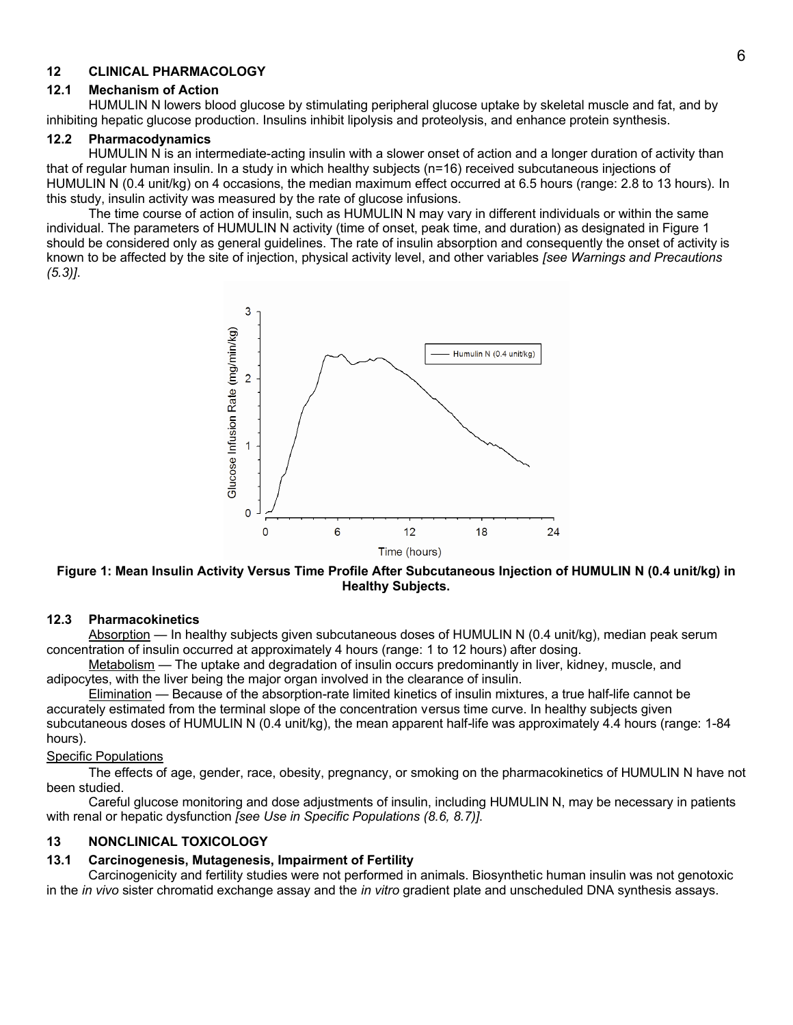### **12 CLINICAL PHARMACOLOGY**

#### **12.1 Mechanism of Action**

HUMULIN N lowers blood glucose by stimulating peripheral glucose uptake by skeletal muscle and fat, and by inhibiting hepatic glucose production. Insulins inhibit lipolysis and proteolysis, and enhance protein synthesis.

#### **12.2 Pharmacodynamics**

HUMULIN N is an intermediate-acting insulin with a slower onset of action and a longer duration of activity than that of regular human insulin. In a study in which healthy subjects (n=16) received subcutaneous injections of HUMULIN N (0.4 unit/kg) on 4 occasions, the median maximum effect occurred at 6.5 hours (range: 2.8 to 13 hours). In this study, insulin activity was measured by the rate of glucose infusions.

The time course of action of insulin, such as HUMULIN N may vary in different individuals or within the same individual. The parameters of HUMULIN N activity (time of onset, peak time, and duration) as designated in Figure 1 should be considered only as general guidelines. The rate of insulin absorption and consequently the onset of activity is known to be affected by the site of injection, physical activity level, and other variables *[see Warnings and Precautions (5.3)]*.



**Figure 1: Mean Insulin Activity Versus Time Profile After Subcutaneous Injection of HUMULIN N (0.4 unit/kg) in Healthy Subjects.**

#### **12.3 Pharmacokinetics**

Absorption — In healthy subjects given subcutaneous doses of HUMULIN N (0.4 unit/kg), median peak serum concentration of insulin occurred at approximately 4 hours (range: 1 to 12 hours) after dosing.

Metabolism — The uptake and degradation of insulin occurs predominantly in liver, kidney, muscle, and adipocytes, with the liver being the major organ involved in the clearance of insulin.

Elimination — Because of the absorption-rate limited kinetics of insulin mixtures, a true half-life cannot be accurately estimated from the terminal slope of the concentration versus time curve. In healthy subjects given subcutaneous doses of HUMULIN N (0.4 unit/kg), the mean apparent half-life was approximately 4.4 hours (range: 1-84 hours).

#### Specific Populations

The effects of age, gender, race, obesity, pregnancy, or smoking on the pharmacokinetics of HUMULIN N have not been studied.

Careful glucose monitoring and dose adjustments of insulin, including HUMULIN N, may be necessary in patients with renal or hepatic dysfunction *[see Use in Specific Populations (8.6, 8.7)]*.

### **13 NONCLINICAL TOXICOLOGY**

### **13.1 Carcinogenesis, Mutagenesis, Impairment of Fertility**

Carcinogenicity and fertility studies were not performed in animals. Biosynthetic human insulin was not genotoxic in the *in vivo* sister chromatid exchange assay and the *in vitro* gradient plate and unscheduled DNA synthesis assays.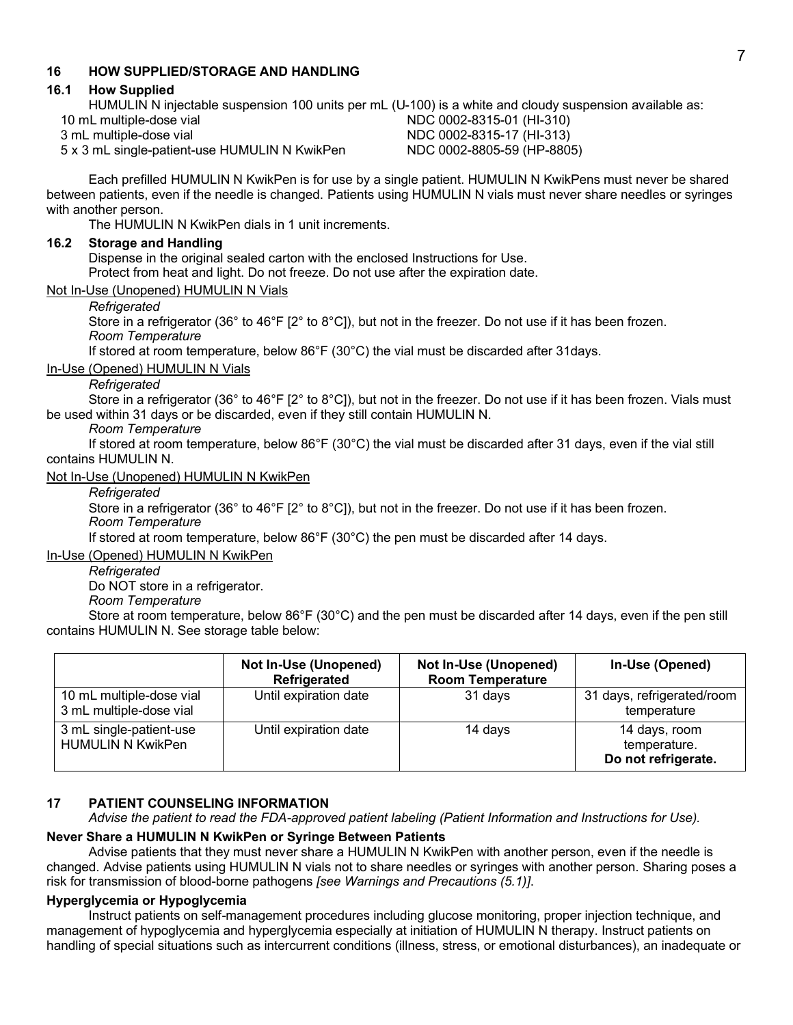### **16 HOW SUPPLIED/STORAGE AND HANDLING**

### **16.1 How Supplied**

HUMULIN N injectable suspension 100 units per mL (U-100) is a white and cloudy suspension available as: 10 mL multiple-dose vial **NDC 0002-8315-01** (HI-310)<br>3 mL multiple-dose vial **NDC 0002-8315-17** (HI-313)

5 x 3 mL single-patient-use HUMULIN N KwikPen

NDC 0002-8315-17 (HI-313)<br>NDC 0002-8805-59 (HP-8805)

Each prefilled HUMULIN N KwikPen is for use by a single patient. HUMULIN N KwikPens must never be shared between patients, even if the needle is changed. Patients using HUMULIN N vials must never share needles or syringes with another person.

The HUMULIN N KwikPen dials in 1 unit increments.

### **16.2 Storage and Handling**

Dispense in the original sealed carton with the enclosed Instructions for Use.

Protect from heat and light. Do not freeze. Do not use after the expiration date.

### Not In-Use (Unopened) HUMULIN N Vials

# *Refrigerated*

Store in a refrigerator (36° to 46°F [2° to 8°C]), but not in the freezer. Do not use if it has been frozen. *Room Temperature*

If stored at room temperature, below 86°F (30°C) the vial must be discarded after 31days.

### In-Use (Opened) HUMULIN N Vials

### *Refrigerated*

Store in a refrigerator (36° to 46°F [2° to 8°C]), but not in the freezer. Do not use if it has been frozen. Vials must be used within 31 days or be discarded, even if they still contain HUMULIN N.

### *Room Temperature*

If stored at room temperature, below 86°F (30°C) the vial must be discarded after 31 days, even if the vial still contains HUMULIN N.

# Not In-Use (Unopened) HUMULIN N KwikPen

*Refrigerated*

Store in a refrigerator (36° to 46°F [2° to 8°C]), but not in the freezer. Do not use if it has been frozen. *Room Temperature*

If stored at room temperature, below 86°F (30°C) the pen must be discarded after 14 days.

### In-Use (Opened) HUMULIN N KwikPen

*Refrigerated*

Do NOT store in a refrigerator.

*Room Temperature*

Store at room temperature, below 86°F (30°C) and the pen must be discarded after 14 days, even if the pen still contains HUMULIN N. See storage table below:

|                                                     | Not In-Use (Unopened)<br>Refrigerated | Not In-Use (Unopened)<br><b>Room Temperature</b> | In-Use (Opened)                                      |
|-----------------------------------------------------|---------------------------------------|--------------------------------------------------|------------------------------------------------------|
| 10 mL multiple-dose vial<br>3 mL multiple-dose vial | Until expiration date                 | 31 days                                          | 31 days, refrigerated/room<br>temperature            |
| 3 mL single-patient-use<br><b>HUMULIN N KwikPen</b> | Until expiration date                 | 14 days                                          | 14 days, room<br>temperature.<br>Do not refrigerate. |

### **17 PATIENT COUNSELING INFORMATION**

*Advise the patient to read the FDA-approved patient labeling (Patient Information and Instructions for Use).*

### **Never Share a HUMULIN N KwikPen or Syringe Between Patients**

Advise patients that they must never share a HUMULIN N KwikPen with another person, even if the needle is changed. Advise patients using HUMULIN N vials not to share needles or syringes with another person. Sharing poses a risk for transmission of blood-borne pathogens *[see Warnings and Precautions (5.1)]*.

### **Hyperglycemia or Hypoglycemia**

Instruct patients on self-management procedures including glucose monitoring, proper injection technique, and management of hypoglycemia and hyperglycemia especially at initiation of HUMULIN N therapy. Instruct patients on handling of special situations such as intercurrent conditions (illness, stress, or emotional disturbances), an inadequate or